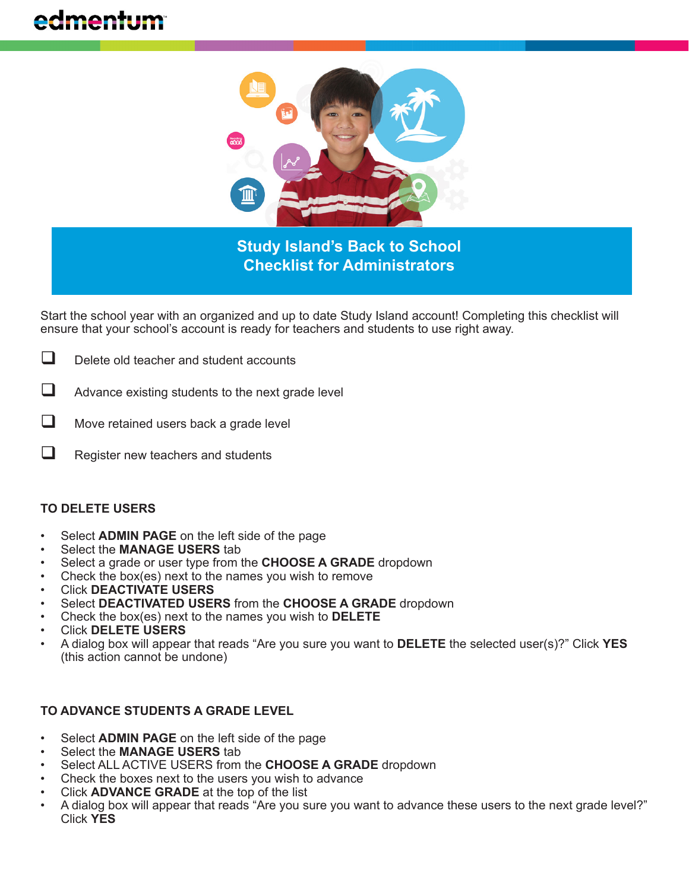# edmentum



**Study Island's Back to School Checklist for Administrators**

Start the school year with an organized and up to date Study Island account! Completing this checklist will ensure that your school's account is ready for teachers and students to use right away.

- $\Box$  Delete old teacher and student accounts
- $\Box$  Advance existing students to the next grade level
- $\Box$  Move retained users back a grade level
- $\Box$  Register new teachers and students

#### **TO DELETE USERS**

- Select **ADMIN PAGE** on the left side of the page
- Select the **MANAGE USERS** tab
- Select a grade or user type from the **CHOOSE A GRADE** dropdown
- Check the box(es) next to the names you wish to remove
- Click **DEACTIVATE USERS**
- Select **DEACTIVATED USERS** from the **CHOOSE A GRADE** dropdown
- Check the box(es) next to the names you wish to **DELETE**
- Click **DELETE USERS**
- A dialog box will appear that reads "Are you sure you want to **DELETE** the selected user(s)?" Click **YES**  (this action cannot be undone)

# **TO ADVANCE STUDENTS A GRADE LEVEL**

- Select **ADMIN PAGE** on the left side of the page
- Select the **MANAGE USERS** tab
- Select ALL ACTIVE USERS from the **CHOOSE A GRADE** dropdown
- Check the boxes next to the users you wish to advance
- Click **ADVANCE GRADE** at the top of the list
- A dialog box will appear that reads "Are you sure you want to advance these users to the next grade level?" Click **YES**